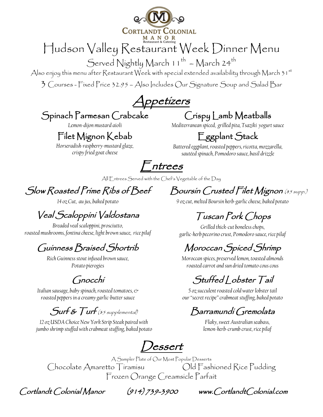

Served Nightly March  $11^{th}$  – March  $24^{th}$ 

Also enjoy this menu after Restaurant Week with special extended availability through March  $31^{st}$ 

3 Courses - Fixed Price 32.95 – Also Includes Our Signature Soup and Salad Bar

Appetizers

### Spinach Parmesan Crabcake

*Lemon-dijon mustard aioli*

### Filet Mignon Kebab

*Horseradish-raspberry-mustard glaze, crispy fried goat cheese*

### Crispy Lamb Meatballs

*Mediterranean spiced, grilled pita, Tsaziki yogurt sauce*

## Eggplant Stack

*Battered eggplant, roasted peppers, ricotta, mozzarella, sautéed spinach, Pomodoro sauce, basil drizzle*

 $\vdash$ ntrees

All Entrees Served with the Chef's Vegetable of the Day

Slow Roasted Prime Ribs of Beef

*14 oz Cut, au jus, baked potato*

# Veal Scaloppini Valdostana

*Breaded veal scaloppini, prosciutto, roasted mushrooms, fontina cheese, light brown sauce, rice pilaf* 

### Guinness Braised Shortrib

*Rich Guinness stout infused brown sauce, Potato pierogies*

### Gnocchi

*Italian sausage, baby spinach, roasted tomatoes, & roasted peppers in a creamy garlic-buttersauce* 

### $Surf$   $\overline{\mathcal{E}}$   $Turf$  (\$5 supplemental)

*12 oz USDA Choice New York Strip Steak paired with jumbo shrimp stuffed with crabmeat stuffing, baked potato*

Boursin Crusted Filet Mignon (\$5 supp.)

#### *9 oz cut, melted Boursin herb-garlic cheese, baked potato*

### Tuscan Pork Chops

*Grilled thick-cut boneless chops, garlic-herb pecorino crust, Pomodoro sauce, rice pilaf*

## Moroccan Spiced Shrimp

*Moroccan spices, preserved lemon, toasted almonds roasted carrot and sun dried tomato cous cous*

Stuffed | obster Tail

*5 oz succulent roasted cold water lobster tail our "secret recipe" crabmeat stuffing, baked potato*

### Barramundi Gremolata

*Flaky, sweet Australian seabass, lemon-herb-crumb crust,rice pilaf*

Dessert

A Sampler Plate of Our Most Popular Desserts Chocolate Amaretto Tiramisu Old Fashioned Rice Pudding Frozen Orange Creamsicle Parfait

Cortlandt Colonial Manor (914) 739-3900 www.CortlandtColonial.com